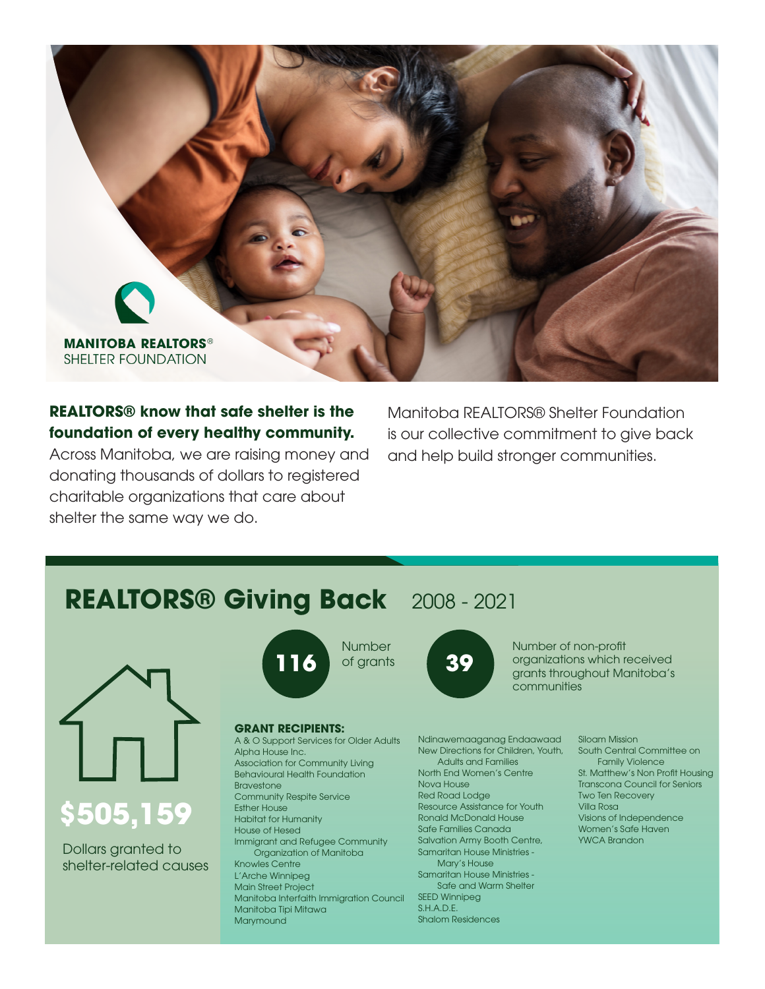

## **REALTORS® know that safe shelter is the foundation of every healthy community.**

Across Manitoba, we are raising money and donating thousands of dollars to registered charitable organizations that care about shelter the same way we do.

Manitoba REALTORS® Shelter Foundation is our collective commitment to give back and help build stronger communities.

# **REALTORS® Giving Back** 2008 - 2021



**\$505,159**

Dollars granted to shelter-related causes



## Number of grants

### **GRANT RECIPIENTS:**

A & O Support Services for Older Adults Alpha House Inc. Association for Community Living Behavioural Health Foundation Bravestone Community Respite Service Esther House Habitat for Humanity House of Hesed Immigrant and Refugee Community Organization of Manitoba Knowles Centre L'Arche Winnipeg Main Street Project Manitoba Interfaith Immigration Council Manitoba Tipi Mitawa **Marymound** 



Number of non-profit organizations which received grants throughout Manitoba's communities

Ndinawemaaganag Endaawaad New Directions for Children, Youth, Adults and Families North End Women's Centre Nova House Red Road Lodge Resource Assistance for Youth Ronald McDonald House Safe Families Canada Salvation Army Booth Centre, Samaritan House Ministries - Mary's House Samaritan House Ministries - Safe and Warm Shelter SEED Winnipeg S.H.A.D.E. Shalom Residences

#### Siloam Mission South Central Committee on Family Violence St. Matthew's Non Profit Housing Transcona Council for Seniors Two Ten Recovery Villa Rosa Visions of Independence Women's Safe Haven YWCA Brandon